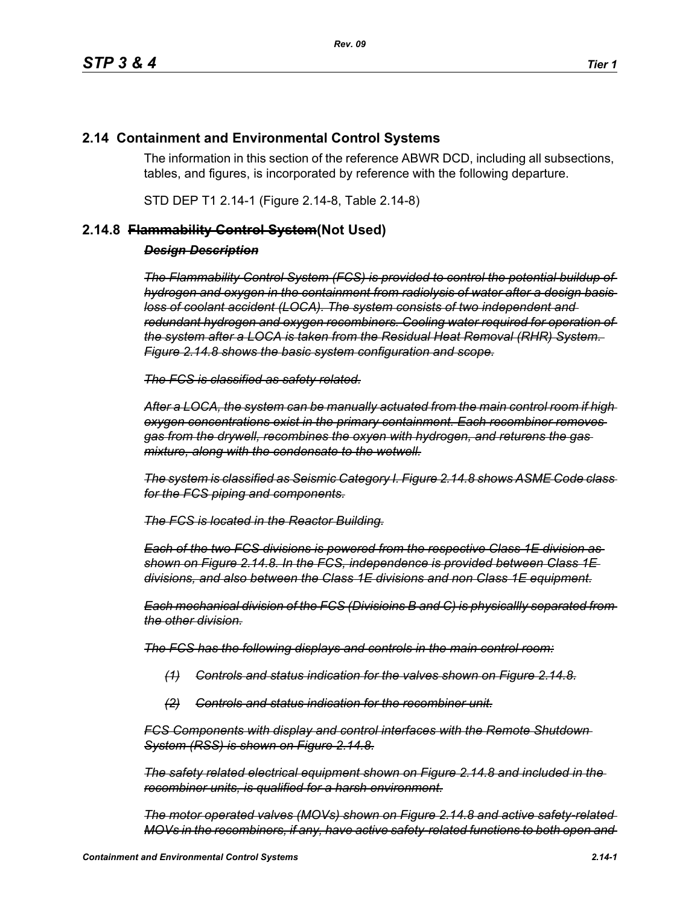## **2.14 Containment and Environmental Control Systems**

The information in this section of the reference ABWR DCD, including all subsections, tables, and figures, is incorporated by reference with the following departure.

STD DEP T1 2.14-1 (Figure 2.14-8, Table 2.14-8)

## **2.14.8 Flammability Control System(Not Used)**

## *Design Description*

*The Flammability Control System (FCS) is provided to control the potential buildup of hydrogen and oxygen in the containment from radiolysis of water after a design basis loss of coolant accident (LOCA). The system consists of two independent and redundant hydrogen and oxygen recombiners. Cooling water required for operation of the system after a LOCA is taken from the Residual Heat Removal (RHR) System. Figure 2.14.8 shows the basic system configuration and scope.*

*The FCS is classified as safety related.*

*After a LOCA, the system can be manually actuated from the main control room if high oxygen concentrations exist in the primary containment. Each recombiner removes gas from the drywell, recombines the oxyen with hydrogen, and returens the gas mixture, along with the condensate to the wetwell.*

*The system is classified as Seismic Category I. Figure 2.14.8 shows ASME Code class for the FCS piping and components.*

*The FCS is located in the Reactor Building.*

*Each of the two FCS divisions is powered from the respective Class 1E division as shown on Figure 2.14.8. In the FCS, independence is provided between Class 1E divisions, and also between the Class 1E divisions and non Class 1E equipment.*

*Each mechanical division of the FCS (Divisioins B and C) is physicallly separated from the other division.*

*The FCS has the following displays and controls in the main control room:*

- *(1) Controls and status indication for the valves shown on Figure 2.14.8.*
- *(2) Controls and status indication for the recombiner unit.*

*FCS Components with display and control interfaces with the Remote Shutdown System (RSS) is shown on Figure 2.14.8.*

*The safety related electrical equipment shown on Figure 2.14.8 and included in the recombiner units, is qualified for a harsh environment.*

*The motor operated valves (MOVs) shown on Figure 2.14.8 and active safety-related MOVs in the recombiners, if any, have active safety-related functions to both open and*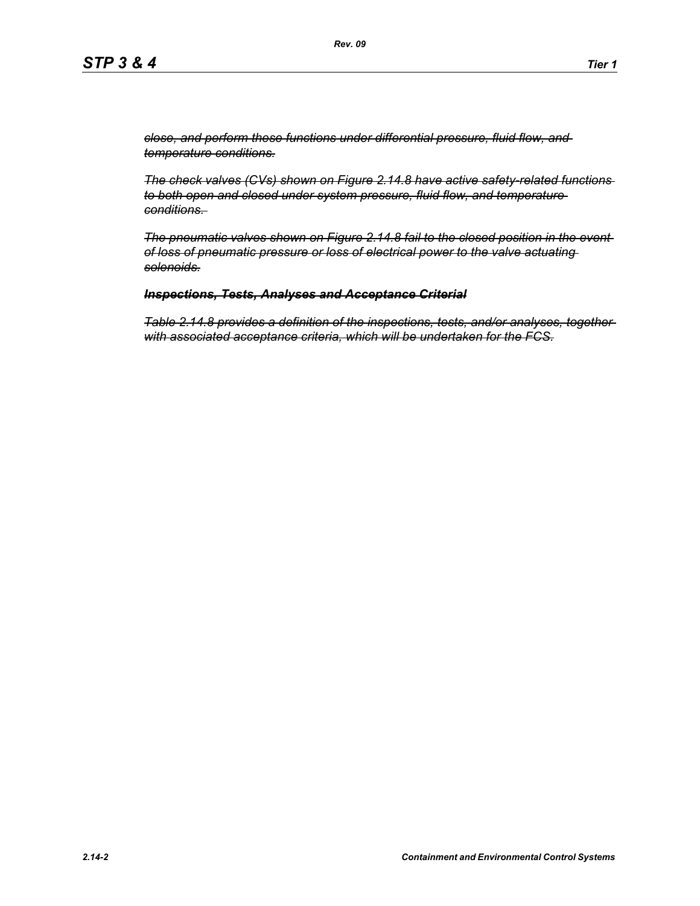*close, and perform these functions under differential pressure, fluid flow, and temperature conditions.*

*The check valves (CVs) shown on Figure 2.14.8 have active safety-related functions to both open and closed under system pressure, fluid flow, and temperature conditions.* 

*The pneumatic valves shown on Figure 2.14.8 fail to the closed position in the event of loss of pneumatic pressure or loss of electrical power to the valve actuating solenoids.*

## *Inspections, Tests, Analyses and Acceptance Criterial*

*Table 2.14.8 provides a definition of the inspections, tests, and/or analyses, together with associated acceptance criteria, which will be undertaken for the FCS.*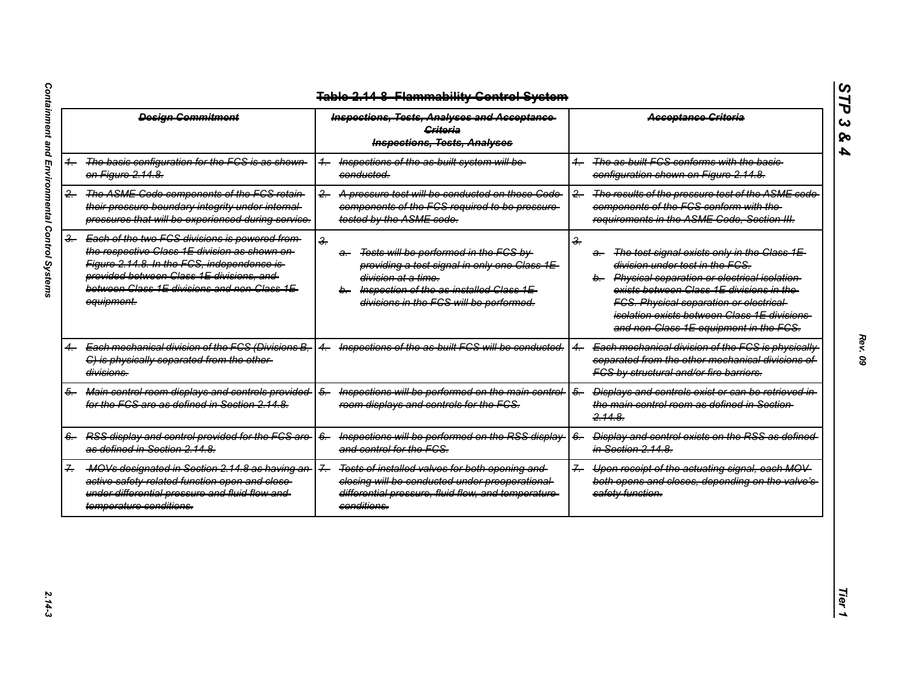|               | <b>Design Commitment</b>                                                                                                                                                                                                                                 | <b>Inspections, Tests, Analyses and Acceptance</b><br><b>Griteria</b><br><b>Inspections, Tests, Analyses</b>                                                                                                                               | <b>Acceptance Criteria</b>                                                                                                                                                                                                                                                                                                                          |
|---------------|----------------------------------------------------------------------------------------------------------------------------------------------------------------------------------------------------------------------------------------------------------|--------------------------------------------------------------------------------------------------------------------------------------------------------------------------------------------------------------------------------------------|-----------------------------------------------------------------------------------------------------------------------------------------------------------------------------------------------------------------------------------------------------------------------------------------------------------------------------------------------------|
|               | The basic configuration for the FCS is as shown<br>on Figure 2.14.8.                                                                                                                                                                                     | Inspections of the as built system will be-<br>$+$<br>conducted.                                                                                                                                                                           | The as built FCS conforms with the basic-<br>$\overline{\phantom{0}}$<br>configuration shown on Figure 2.14.8.                                                                                                                                                                                                                                      |
| 2.            | The ASME Code components of the FCS retain-<br>their pressure boundary integrity under internal-<br>pressures that will be experienced during service.                                                                                                   | A pressure test will be conducted on those Code<br>$\leftarrow$<br>components of the FCS required to be pressure-<br>tested by the ASME code.                                                                                              | The results of the pressure test of the ASME code<br>$-2$<br>components of the FCS conform with the-<br>requirements in the ASME Code, Section III.                                                                                                                                                                                                 |
| <del>3.</del> | Each of the two FCS divisions is powered from-<br>the respective Class 1E division as shown on-<br>Figure 2.14.8. In the FGS, independence is-<br>provided between Class 1E divisions, and<br>between Class 1E divisions and non Class 1E-<br>equipment. | $\frac{2}{\pi}$<br>Tests will be performed in the FCS by<br><del>a.</del><br>providing a test signal in only one Class 1E<br>division at a time.<br>b. Inspection of the as-installed Class 1E-<br>divisions in the FCS will be performed. | $\frac{2}{\pi}$<br>The test signal exists only in the Class 1E-<br>a.<br>division under test in the FCS.<br>b. Physical separation or electrical isolation<br>exists between Class 1E divisions in the-<br><b>FCS. Physical separation or electrical-</b><br>isolation exists between Class 1E divisions-<br>and non-Class 1E equipment in the FCS. |
|               | Each mechanical division of the FCS (Divisions B.<br>C) is physically separated from the other-<br>divisions.                                                                                                                                            | Inspections of the as built FCS will be conducted.                                                                                                                                                                                         | Each mechanical division of the FCS is physically<br>separated from the other mechanical divisions of<br>FCS by structural and/or fire barriers.                                                                                                                                                                                                    |
| 5.            | Main control room displays and controls provided<br>for the FCS are as defined in Section 2.14.8.                                                                                                                                                        | Inspections will be performed on the main control-<br>$\frac{5}{2}$<br>room displays and controls for the FCS.                                                                                                                             | $\overline{6}$<br>Displays and controls exist or can be retrieved in<br>the main control room as defined in Section-<br>2.14.8                                                                                                                                                                                                                      |
|               | RSS display and control provided for the FCS are-<br>as defined in Section 2.14.8.                                                                                                                                                                       | Inspections will be performed on the RSS display-<br>$6-$<br>and control for the FCS.                                                                                                                                                      | Display and control exists on the RSS as defined-<br>$6-$<br>in Section 2.14.8.                                                                                                                                                                                                                                                                     |
|               | MOVs designated in Section 2.14.8 as having an<br>active safety related function open and close-<br>under differential pressure and fluid flow and<br>temperature conditions.                                                                            | Tests of installed valves for both opening and<br>$\overline{f}$<br>closing will be conducted under preoperational<br>differential pressure, fluid flow, and temperature-<br>conditions.                                                   | Upon receipt of the actuating signal, each MOV<br>$\overline{f}$<br>both opens and closes, depending on the valve's-<br>safety function.                                                                                                                                                                                                            |

*STP 3 & 4*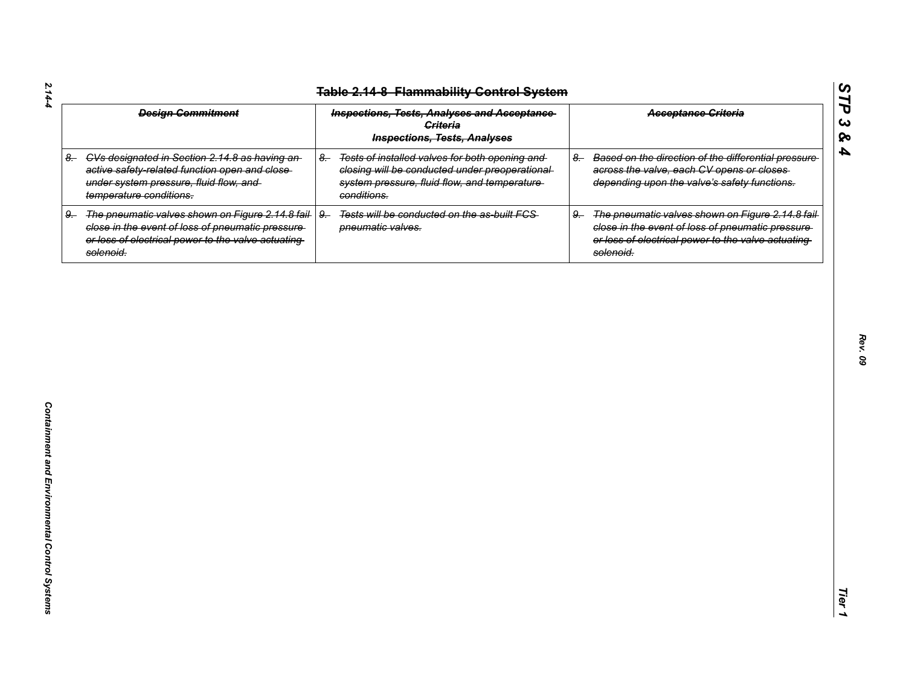| <b>Design Commitment</b>                                                                                                                                                         | <b>Inspections, Tests, Analyses and Acceptance</b><br><b>Criteria</b><br><b>Inspections, Tests, Analyses</b>                                                            | <b>Acceptance Griteria</b>                                                                                                                                                     |
|----------------------------------------------------------------------------------------------------------------------------------------------------------------------------------|-------------------------------------------------------------------------------------------------------------------------------------------------------------------------|--------------------------------------------------------------------------------------------------------------------------------------------------------------------------------|
| 8. CVs designated in Section 2.14.8 as having an-<br>active safety-related function open and close-<br>under system pressure, fluid flow, and<br>temperature conditions.         | Tests of installed valves for both opening and<br>$8-$<br>closing will be conducted under preoperational<br>system pressure, fluid flow, and temperature<br>conditions. | Based on the direction of the differential pressure<br>$8-$<br>across the valve, each CV opens or closes<br>depending upon the valve's safety functions.                       |
| The pneumatic valves shown on Figure 2.14.8 fail-<br>9.<br>close in the event of loss of pneumatic pressure-<br>or loss of electrical power to the valve actuating-<br>solenoid. | $9 -$<br>Tests will be conducted on the as-built FCS-<br>pneumatic valves.                                                                                              | The pneumatic valves shown on Figure 2.14.8 fail-<br>9.<br>close in the event of loss of pneumatic pressure<br>or loss of electrical power to the valve actuating<br>solenoid. |
|                                                                                                                                                                                  |                                                                                                                                                                         |                                                                                                                                                                                |
|                                                                                                                                                                                  |                                                                                                                                                                         |                                                                                                                                                                                |
|                                                                                                                                                                                  |                                                                                                                                                                         |                                                                                                                                                                                |
|                                                                                                                                                                                  |                                                                                                                                                                         |                                                                                                                                                                                |
|                                                                                                                                                                                  |                                                                                                                                                                         |                                                                                                                                                                                |
|                                                                                                                                                                                  |                                                                                                                                                                         |                                                                                                                                                                                |
|                                                                                                                                                                                  |                                                                                                                                                                         |                                                                                                                                                                                |

*Rev. 09*

*STP 3 & 4*